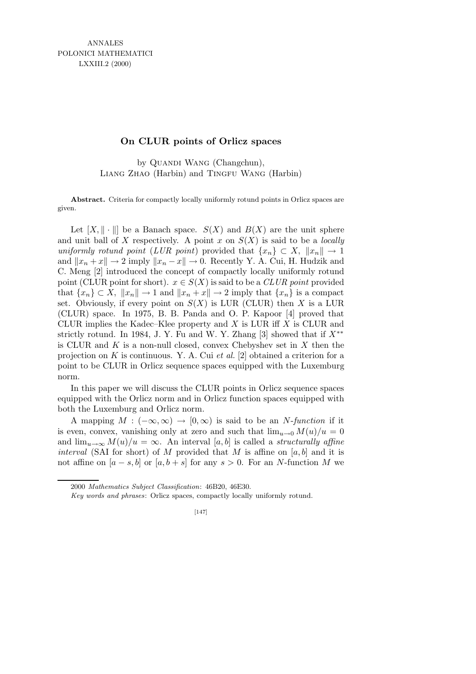ANNALES POLONICI MATHEMATICI LXXIII.2 (2000)

## **On CLUR points of Orlicz spaces**

by QUANDI WANG (Changchun), Liang Zhao (Harbin) and Tingfu Wang (Harbin)

Abstract. Criteria for compactly locally uniformly rotund points in Orlicz spaces are given.

Let  $[X, \|\cdot\|]$  be a Banach space.  $S(X)$  and  $B(X)$  are the unit sphere and unit ball of X respectively. A point x on  $S(X)$  is said to be a *locally* uniformly rotund point (LUR point) provided that  $\{x_n\} \subset X$ ,  $||x_n|| \to 1$ and  $||x_n + x|| \to 2$  imply  $||x_n - x|| \to 0$ . Recently Y. A. Cui, H. Hudzik and C. Meng [2] introduced the concept of compactly locally uniformly rotund point (CLUR point for short).  $x \in S(X)$  is said to be a *CLUR point* provided that  ${x_n} \subset X$ ,  $||x_n|| \to 1$  and  $||x_n + x|| \to 2$  imply that  ${x_n}$  is a compact set. Obviously, if every point on  $S(X)$  is LUR (CLUR) then X is a LUR (CLUR) space. In 1975, B. B. Panda and O. P. Kapoor [4] proved that CLUR implies the Kadec–Klee property and  $X$  is LUR iff  $X$  is CLUR and strictly rotund. In 1984, J. Y. Fu and W. Y. Zhang [3] showed that if  $X^{**}$ is CLUR and  $K$  is a non-null closed, convex Chebyshev set in  $X$  then the projection on  $K$  is continuous. Y. A. Cui et al. [2] obtained a criterion for a point to be CLUR in Orlicz sequence spaces equipped with the Luxemburg norm.

In this paper we will discuss the CLUR points in Orlicz sequence spaces equipped with the Orlicz norm and in Orlicz function spaces equipped with both the Luxemburg and Orlicz norm.

A mapping  $M : (-\infty, \infty) \to [0, \infty)$  is said to be an N-function if it is even, convex, vanishing only at zero and such that  $\lim_{u\to 0} M(u)/u = 0$ and  $\lim_{u\to\infty} M(u)/u = \infty$ . An interval [a, b] is called a *structurally affine* interval (SAI for short) of M provided that M is affine on  $[a, b]$  and it is not affine on  $[a - s, b]$  or  $[a, b + s]$  for any  $s > 0$ . For an N-function M we

<sup>2000</sup> *Mathematics Subject Classification*: 46B20, 46E30.

*Key words and phrases*: Orlicz spaces, compactly locally uniformly rotund.

<sup>[147]</sup>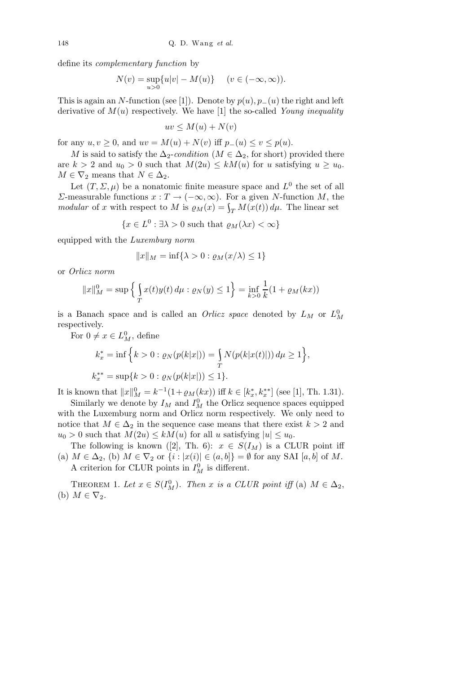define its complementary function by

$$
N(v) = \sup_{u>0} \{u|v| - M(u)\} \quad (v \in (-\infty, \infty)).
$$

This is again an N-function (see [1]). Denote by  $p(u)$ ,  $p_-(u)$  the right and left derivative of  $M(u)$  respectively. We have [1] the so-called Young inequality

$$
uv \le M(u) + N(v)
$$

for any  $u, v \geq 0$ , and  $uv = M(u) + N(v)$  iff  $p_-(u) \leq v \leq p(u)$ .

M is said to satisfy the  $\Delta_2$ -condition ( $M \in \Delta_2$ , for short) provided there are  $k > 2$  and  $u_0 > 0$  such that  $M(2u) \leq kM(u)$  for u satisfying  $u \geq u_0$ .  $M \in \nabla_2$  means that  $N \in \Delta_2$ .

Let  $(T, \Sigma, \mu)$  be a nonatomic finite measure space and  $L^0$  the set of all Σ-measurable functions  $x : T → (-∞, ∞)$ . For a given N-function M, the modular of x with respect to M is  $\varrho_M(x) = \int_T M(x(t)) d\mu$ . The linear set

$$
\{x \in L^0 : \exists \lambda > 0 \text{ such that } \varrho_M(\lambda x) < \infty\}
$$

equipped with the Luxemburg norm

$$
||x||_M = \inf\{\lambda > 0 : \varrho_M(x/\lambda) \le 1\}
$$

or Orlicz norm

$$
||x||_M^0 = \sup \left\{ \int_T x(t)y(t) \, d\mu : \varrho_N(y) \le 1 \right\} = \inf_{k>0} \frac{1}{k} (1 + \varrho_M(kx))
$$

is a Banach space and is called an *Orlicz space* denoted by  $L_M$  or  $L_M^0$ respectively.

For  $0 \neq x \in L^0_M$ , define

$$
k_x^* = \inf \Big\{ k > 0 : \varrho_N(p(k|x|)) = \int_T N(p(k|x(t)|)) d\mu \ge 1 \Big\},
$$
  

$$
k_x^{**} = \sup\{ k > 0 : \varrho_N(p(k|x|)) \le 1 \}.
$$

It is known that  $||x||_M^0 = k^{-1}(1 + \varrho_M(kx))$  iff  $k \in [k_x^*, k_x^{**}]$  (see [1], Th. 1.31).

Similarly we denote by  $I_M$  and  $I_M^0$  the Orlicz sequence spaces equipped with the Luxemburg norm and Orlicz norm respectively. We only need to notice that  $M \in \Delta_2$  in the sequence case means that there exist  $k > 2$  and  $u_0 > 0$  such that  $M(2u) \leq kM(u)$  for all u satisfying  $|u| \leq u_0$ .

The following is known ([2], Th. 6):  $x \in S(I_M)$  is a CLUR point iff (a)  $M \in \Delta_2$ , (b)  $M \in \nabla_2$  or  $\{i : |x(i)| \in (a, b]\} = \emptyset$  for any SAI  $[a, b]$  of M. A criterion for CLUR points in  $I_M^0$  is different.

THEOREM 1. Let  $x \in S(I_M^0)$ . Then x is a CLUR point iff (a)  $M \in \Delta_2$ , (b)  $M \in \nabla_2$ .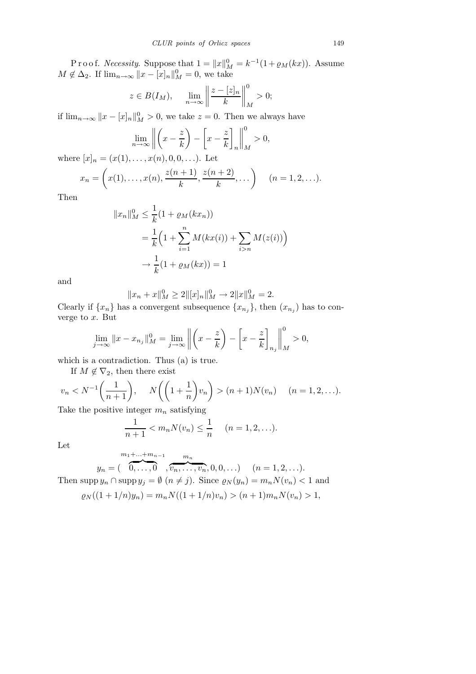P r o o f. *Necessity*. Suppose that  $1 = ||x||_M^0 = k^{-1}(1 + \varrho_M(kx))$ . Assume  $M \notin \Delta_2$ . If  $\lim_{n \to \infty} ||x - [x]_n||_M^0 = 0$ , we take

$$
z \in B(I_M)
$$
,  $\lim_{n \to \infty} \left\| \frac{z - [z]_n}{k} \right\|_M^0 > 0$ ;

if  $\lim_{n\to\infty} ||x-[x]_n||_M^0 > 0$ , we take  $z=0$ . Then we always have

$$
\lim_{n \to \infty} \left\| \left( x - \frac{z}{k} \right) - \left[ x - \frac{z}{k} \right]_n \right\|_M^0 > 0,
$$

where  $[x]_n = (x(1), \ldots, x(n), 0, 0, \ldots)$ . Let

$$
x_n = \left(x(1), \dots, x(n), \frac{z(n+1)}{k}, \frac{z(n+2)}{k}, \dots\right) \quad (n = 1, 2, \dots).
$$

Then

$$
||x_n||_M^0 \le \frac{1}{k} (1 + \varrho_M(kx_n))
$$
  
=  $\frac{1}{k} \Big( 1 + \sum_{i=1}^n M(kx(i)) + \sum_{i>n} M(z(i)) \Big)$   
 $\to \frac{1}{k} (1 + \varrho_M(kx)) = 1$ 

and

$$
||x_n + x||_M^0 \ge 2||[x]_n||_M^0 \to 2||x||_M^0 = 2.
$$

Clearly if  $\{x_n\}$  has a convergent subsequence  $\{x_{n_j}\}$ , then  $(x_{n_j})$  has to converge to  $x$ . But

$$
\lim_{j \to \infty} \|x - x_{n_j}\|_{M}^{0} = \lim_{j \to \infty} \left\| \left( x - \frac{z}{k} \right) - \left[ x - \frac{z}{k} \right]_{n_j} \right\|_{M}^{0} > 0,
$$

which is a contradiction. Thus (a) is true.

If  $M \notin \nabla_2$ , then there exist

$$
v_n < N^{-1}\left(\frac{1}{n+1}\right), \quad N\left(\left(1+\frac{1}{n}\right)v_n\right) > (n+1)N(v_n) \quad (n=1,2,\ldots).
$$

Take the positive integer  $m_n$  satisfying

$$
\frac{1}{n+1} < m_n N(v_n) \le \frac{1}{n} \quad (n = 1, 2, \ldots).
$$

Let

$$
y_n = (\overbrace{0, \ldots, 0}^{m_1 + \ldots + m_{n-1}}, \overbrace{v_n, \ldots, v_n}^{m_n}, 0, 0, \ldots) \quad (n = 1, 2, \ldots).
$$

Then supp  $y_n \cap \text{supp } y_j = \emptyset$   $(n \neq j)$ . Since  $\varrho_N(y_n) = m_n N(v_n) < 1$  and

$$
\varrho_N((1+1/n)y_n) = m_n N((1+1/n)v_n) > (n+1)m_n N(v_n) > 1,
$$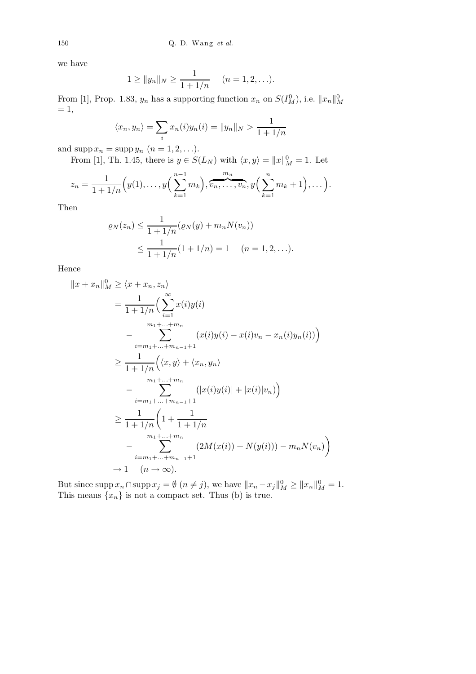we have

$$
1 \ge ||y_n||_N \ge \frac{1}{1 + 1/n} \quad (n = 1, 2, \ldots).
$$

From [1], Prop. 1.83,  $y_n$  has a supporting function  $x_n$  on  $S(I_M^0)$ , i.e.  $||x_n||_M^0$  $= 1,$ 

$$
\langle x_n, y_n \rangle = \sum_i x_n(i) y_n(i) = ||y_n||_N > \frac{1}{1 + 1/n}
$$

and  $\text{supp } x_n = \text{supp } y_n \ (n = 1, 2, \ldots).$ 

From [1], Th. 1.45, there is  $y \in S(L_N)$  with  $\langle x, y \rangle = ||x||_M^0 = 1$ . Let

$$
z_n = \frac{1}{1 + 1/n} \Big( y(1), \dots, y\Big( \sum_{k=1}^{n-1} m_k \Big), \overbrace{v_n, \dots, v_n}^{m_n}, y \Big( \sum_{k=1}^{n} m_k + 1 \Big), \dots \Big).
$$

Then

$$
\varrho_N(z_n) \le \frac{1}{1 + 1/n} (\varrho_N(y) + m_n N(v_n))
$$
  
 
$$
\le \frac{1}{1 + 1/n} (1 + 1/n) = 1 \quad (n = 1, 2, ...).
$$

Hence

$$
||x + x_n||_M^0 \ge \langle x + x_n, z_n \rangle
$$
  
=  $\frac{1}{1 + 1/n} \Big( \sum_{i=1}^{\infty} x(i) y(i)$   

$$
- \sum_{i=m_1 + ... + m_n}^{m_1 + ... + m_n} (x(i) y(i) - x(i) v_n - x_n(i) y_n(i)) \Big)
$$
  

$$
\ge \frac{1}{1 + 1/n} \Big( \langle x, y \rangle + \langle x_n, y_n \rangle
$$
  

$$
- \sum_{i=m_1 + ... + m_n}^{m_1 + ... + m_n} (|x(i) y(i)| + |x(i)| v_n) \Big)
$$
  

$$
\ge \frac{1}{1 + 1/n} \Big( 1 + \frac{1}{1 + 1/n}
$$
  

$$
- \sum_{i=m_1 + ... + m_n}^{m_1 + ... + m_n} (2M(x(i)) + N(y(i))) - m_n N(v_n) \Big)
$$
  

$$
+ 1 (n \to \infty).
$$

But since  $\text{supp } x_n \cap \text{supp } x_j = \emptyset \ (n \neq j)$ , we have  $||x_n - x_j||_M^0 \ge ||x_n||_M^0 = 1$ . This means  $\{x_n\}$  is not a compact set. Thus (b) is true.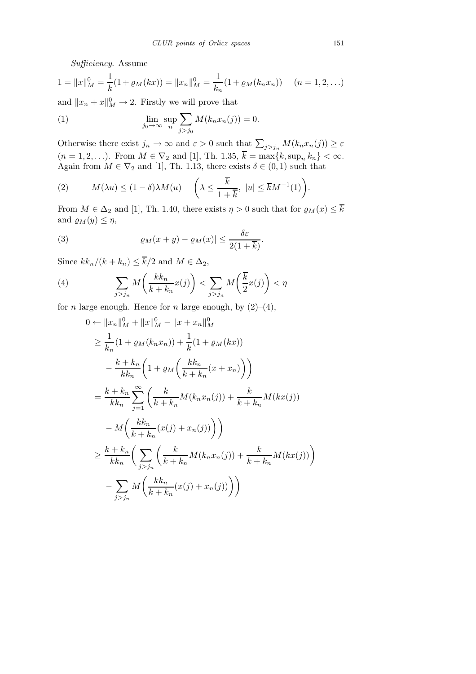Sufficiency. Assume

$$
1 = ||x||_M^0 = \frac{1}{k}(1 + \varrho_M(kx)) = ||x_n||_M^0 = \frac{1}{k_n}(1 + \varrho_M(k_nx_n)) \quad (n = 1, 2, ...)
$$

and  $||x_n + x||_M^0 \to 2$ . Firstly we will prove that

(1) 
$$
\lim_{j_0 \to \infty} \sup_n \sum_{j > j_0} M(k_n x_n(j)) = 0.
$$

Otherwise there exist  $j_n \to \infty$  and  $\varepsilon > 0$  such that  $\sum_{j > j_n} M(k_n x_n(j)) \ge \varepsilon$  $(n = 1, 2, \ldots)$ . From  $M \in \nabla_2$  and [1], Th. 1.35,  $k = \max\{k, \sup_n k_n\} < \infty$ . Again from  $M \in \nabla_2$  and [1], Th. 1.13, there exists  $\delta \in (0,1)$  such that

(2) 
$$
M(\lambda u) \le (1 - \delta) \lambda M(u) \quad \left(\lambda \le \frac{\overline{k}}{1 + \overline{k}}, \ |u| \le \overline{k} M^{-1}(1)\right).
$$

From  $M \in \Delta_2$  and [1], Th. 1.40, there exists  $\eta > 0$  such that for  $\varrho_M(x) \leq \overline{k}$ and  $\varrho_M(y) \leq \eta$ ,

(3) 
$$
|\varrho_M(x+y)-\varrho_M(x)| \leq \frac{\delta \varepsilon}{2(1+\overline{k})}.
$$

Since  $kk_n/(k + k_n) \leq \overline{k}/2$  and  $M \in \Delta_2$ ,

(4) 
$$
\sum_{j>j_n} M\left(\frac{kk_n}{k+k_n}x(j)\right) < \sum_{j>j_n} M\left(\frac{\overline{k}}{2}x(j)\right) < \eta
$$

for *n* large enough. Hence for *n* large enough, by  $(2)-(4)$ ,

$$
0 \leftarrow ||x_n||_M^0 + ||x||_M^0 - ||x + x_n||_M^0
$$
  
\n
$$
\geq \frac{1}{k_n} (1 + \varrho_M(k_n x_n)) + \frac{1}{k} (1 + \varrho_M(kx))
$$
  
\n
$$
- \frac{k + k_n}{k k_n} \left( 1 + \varrho_M \left( \frac{k k_n}{k + k_n} (x + x_n) \right) \right)
$$
  
\n
$$
= \frac{k + k_n}{k k_n} \sum_{j=1}^{\infty} \left( \frac{k}{k + k_n} M(k_n x_n(j)) + \frac{k}{k + k_n} M(kx(j))
$$
  
\n
$$
- M \left( \frac{k k_n}{k + k_n} (x(j) + x_n(j)) \right) \right)
$$
  
\n
$$
\geq \frac{k + k_n}{k k_n} \left( \sum_{j > j_n} \left( \frac{k}{k + k_n} M(k_n x_n(j)) + \frac{k}{k + k_n} M(kx(j)) \right)
$$
  
\n
$$
- \sum_{j > j_n} M \left( \frac{k k_n}{k + k_n} (x(j) + x_n(j)) \right) \right)
$$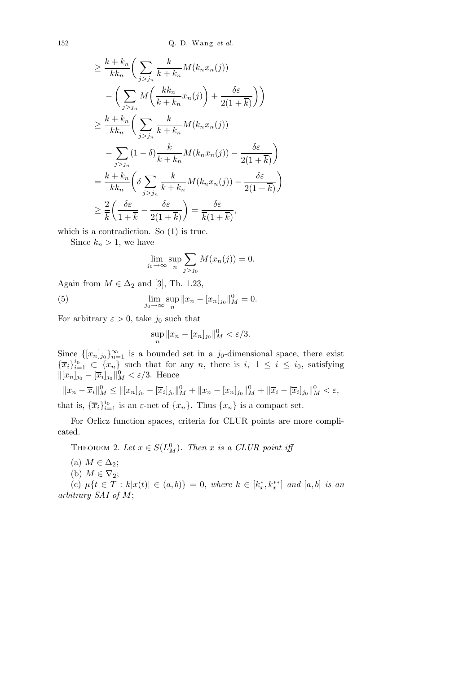152 Q. D. Wang *et al.*

$$
\geq \frac{k + k_n}{kk_n} \bigg( \sum_{j > j_n} \frac{k}{k + k_n} M(k_n x_n(j)) - \bigg( \sum_{j > j_n} M \bigg( \frac{kk_n}{k + k_n} x_n(j) \bigg) + \frac{\delta \varepsilon}{2(1 + \overline{k})} \bigg) \bigg)
$$
  

$$
\geq \frac{k + k_n}{kk_n} \bigg( \sum_{j > j_n} \frac{k}{k + k_n} M(k_n x_n(j)) - \frac{\delta \varepsilon}{2(1 + \overline{k})} \bigg)
$$
  

$$
- \sum_{j > j_n} (1 - \delta) \frac{k}{k + k_n} M(k_n x_n(j)) - \frac{\delta \varepsilon}{2(1 + \overline{k})} \bigg)
$$
  

$$
\geq \frac{k + k_n}{k k_n} \bigg( \delta \sum_{j > j_n} \frac{k}{k + k_n} M(k_n x_n(j)) - \frac{\delta \varepsilon}{2(1 + \overline{k})} \bigg)
$$
  

$$
\geq \frac{2}{k} \bigg( \frac{\delta \varepsilon}{1 + \overline{k}} - \frac{\delta \varepsilon}{2(1 + \overline{k})} \bigg) = \frac{\delta \varepsilon}{\overline{k}(1 + \overline{k})},
$$

which is a contradiction. So  $(1)$  is true.

Since  $k_n > 1$ , we have

$$
\lim_{j_0 \to \infty} \sup_n \sum_{j > j_0} M(x_n(j)) = 0.
$$

Again from  $M \in \Delta_2$  and [3], Th. 1.23,

(5) 
$$
\lim_{j_0 \to \infty} \sup_n ||x_n - [x_n]_{j_0}||_M^0 = 0.
$$

For arbitrary  $\varepsilon > 0$ , take  $j_0$  such that

$$
\sup_n ||x_n - [x_n]_{j_0}||_M^0 < \varepsilon/3.
$$

Since  $\{[x_n]_{j_0}\}_{n=1}^{\infty}$  is a bounded set in a  $j_0$ -dimensional space, there exist  $\{\overline{x}_i\}_{i=1}^{i_0} \subset \{x_n\}$  such that for any n, there is  $i, 1 \leq i \leq i_0$ , satisfying  $\|[x_n]_{j_0} - [\overline{x}_i]_{j_0}\|_M^0 < \varepsilon/3$ . Hence

 $||x_n - \overline{x}_i||_M^0 \le ||[x_n]_{j_0} - [\overline{x}_i]_{j_0}||_M^0 + ||x_n - [x_n]_{j_0}||_M^0 + ||\overline{x}_i - [\overline{x}_i]_{j_0}||_M^0 < \varepsilon,$ that is,  $\{\overline{x}_i\}_{i=1}^{i_0}$  is an  $\varepsilon$ -net of  $\{x_n\}$ . Thus  $\{x_n\}$  is a compact set.

For Orlicz function spaces, criteria for CLUR points are more complicated.

THEOREM 2. Let  $x \in S(L_M^0)$ . Then x is a CLUR point iff

- (a)  $M \in \Delta_2$ ;
- (b)  $M \in \nabla_2$ ;

(c)  $\mu\{t \in T : k|x(t)| \in (a,b)\} = 0$ , where  $k \in [k_x^*, k_x^{**}]$  and  $[a,b]$  is an arbitrary SAI of M;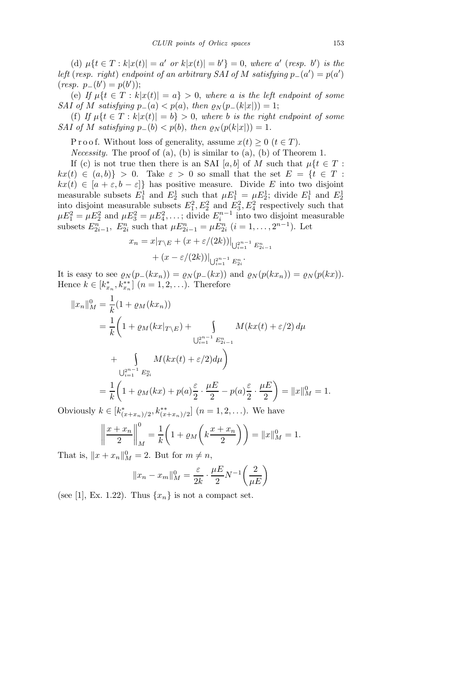(d)  $\mu\{t \in T : k|x(t)| = a' \text{ or } k|x(t)| = b'\} = 0$ , where a' (resp. b') is the left (resp. right) endpoint of an arbitrary SAI of M satisfying  $p_-(a') = p(a')$  $(resp. p_{-}(b') = p(b'));$ 

(e) If  $\mu\{t \in T : k|x(t)| = a\} > 0$ , where a is the left endpoint of some SAI of M satisfying  $p_-(a) < p(a)$ , then  $\varrho_N(p_-(k|x|)) = 1$ ;

(f) If  $\mu\{t \in T : k|x(t)| = b\} > 0$ , where b is the right endpoint of some SAI of M satisfying  $p_-(b) < p(b)$ , then  $\varrho_N(p(k|x|)) = 1$ .

P r o o f. Without loss of generality, assume  $x(t) \geq 0$   $(t \in T)$ .

*Necessity*. The proof of  $(a)$ ,  $(b)$  is similar to  $(a)$ ,  $(b)$  of Theorem 1.

If (c) is not true then there is an SAI [a, b] of M such that  $u\{t \in T:$  $kx(t) \in (a, b)$  > 0. Take  $\varepsilon > 0$  so small that the set  $E = \{t \in T :$  $kx(t) \in [a + \varepsilon, b - \varepsilon]$  has positive measure. Divide E into two disjoint measurable subsets  $E_1^1$  and  $E_2^1$  such that  $\mu E_1^1 = \mu E_2^1$ ; divide  $E_1^1$  and  $E_2^1$ into disjoint measurable subsets  $E_1^2, E_2^2$  and  $E_3^2, E_4^2$  respectively such that  $\mu E_1^2 = \mu E_2^2$  and  $\mu E_3^2 = \mu E_4^2, \dots$ ; divide  $E_i^{n-1}$  into two disjoint measurable subsets  $E_{2i-1}^n$ ,  $E_{2i}^n$  such that  $\mu E_{2i-1}^n = \mu E_{2i}^n$   $(i = 1, ..., 2^{n-1})$ . Let

$$
x_n = x|_{T \setminus E} + (x + \varepsilon/(2k))|_{\bigcup_{i=1}^{2n-1} E_{2i-1}^n}
$$
  
+ 
$$
(x - \varepsilon/(2k))|_{\bigcup_{i=1}^{2n-1} E_{2i}^n}.
$$

It is easy to see  $\varrho_N(p_-(kx_n)) = \varrho_N(p_-(kx))$  and  $\varrho_N(p(kx_n)) = \varrho_N(p(kx))$ . Hence  $k \in [k_{x_n}^*, k_{x_n}^{**}]$   $(n = 1, 2, ...)$ . Therefore

$$
||x_n||_M^0 = \frac{1}{k} (1 + \varrho_M(kx_n))
$$
  
=  $\frac{1}{k} \left( 1 + \varrho_M(kx_{|T \setminus E}) + \int_{U_{i=1}^{2^{n-1}} E_{2i-1}^n} M(kx(t) + \varepsilon/2) d\mu \right)$   
+  $\int_{U_{i=1}^{2^{n-1}} E_{2i}^n} M(kx(t) + \varepsilon/2) d\mu$   
=  $\frac{1}{k} \left( 1 + \varrho_M(kx) + p(a) \frac{\varepsilon}{2} \cdot \frac{\mu E}{2} - p(a) \frac{\varepsilon}{2} \cdot \frac{\mu E}{2} \right) = ||x||_M^0 = 1.$ 

Obviously  $k \in [k^*_{(x+x_n)/2}, k^{**}_{(x+x_n)/2}]$   $(n = 1, 2, \ldots)$ . We have

$$
\left\| \frac{x + x_n}{2} \right\|_M^0 = \frac{1}{k} \left( 1 + \varrho_M \left( k \frac{x + x_n}{2} \right) \right) = \|x\|_M^0 = 1.
$$

That is,  $||x + x_n||_M^0 = 2$ . But for  $m \neq n$ ,

$$
||x_n - x_m||_M^0 = \frac{\varepsilon}{2k} \cdot \frac{\mu E}{2} N^{-1} \left(\frac{2}{\mu E}\right)
$$

(see [1], Ex. 1.22). Thus  $\{x_n\}$  is not a compact set.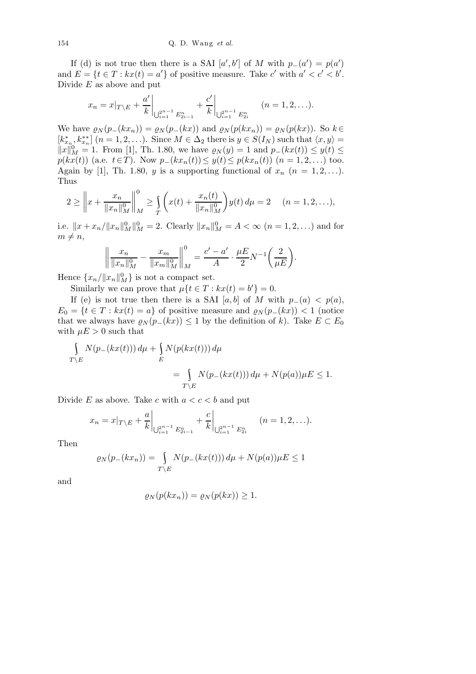If (d) is not true then there is a SAI  $[a', b']$  of M with  $p_-(a') = p(a')$ and  $E = \{t \in T : kx(t) = a'\}$  of positive measure. Take c' with  $a' < c' < b'$ . Divide  $E$  as above and put

$$
x_n = x|_{T \setminus E} + \frac{a'}{k} \bigg|_{\bigcup_{i=1}^{2^{n-1}} E_{2i-1}^n} + \frac{c'}{k} \bigg|_{\bigcup_{i=1}^{2^{n-1}} E_{2i}^n} \qquad (n = 1, 2, \ldots).
$$

We have  $\rho_N(p_-(kx_n)) = \rho_N(p_-(kx))$  and  $\rho_N(p(kx_n)) = \rho_N(p(kx))$ . So  $k \in$  $[k_{x_n}^*, k_{x_n}^{**}]$   $(n = 1, 2, \ldots)$ . Since  $M \in \Delta_2$  there is  $y \in S(I_N)$  such that  $\langle x, y \rangle =$  $||x||_M^0 = 1$ . From [1], Th. 1.80, we have  $\varrho_N(y) = 1$  and  $p_-(kx(t)) \leq y(t) \leq$  $p(kx(t))$  (a.e.  $t \in T$ ). Now  $p_-(kx_n(t)) \leq y(t) \leq p(kx_n(t))$   $(n = 1, 2, ...)$  too. Again by [1], Th. 1.80, y is a supporting functional of  $x_n$   $(n = 1, 2, \ldots)$ . Thus

$$
2 \geq \left\| x + \frac{x_n}{\|x_n\|_M^0} \right\|_M^0 \geq \int\limits_T \left( x(t) + \frac{x_n(t)}{\|x_n\|_M^0} \right) y(t) \, d\mu = 2 \quad (n = 1, 2, \ldots),
$$

i.e.  $||x + x_n/||x_n||_M^0 = 2$ . Clearly  $||x_n||_M^0 = A < \infty$   $(n = 1, 2, ...)$  and for  $m \neq n$ ,

$$
\left\| \frac{x_n}{\|x_n\|_M^0} - \frac{x_m}{\|x_m\|_M^0} \right\|_M^0 = \frac{c' - a'}{A} \cdot \frac{\mu E}{2} N^{-1} \left(\frac{2}{\mu E}\right).
$$

Hence  ${x_n}/{\|x_n\|_M^0}$  is not a compact set.

Similarly we can prove that  $\mu\{t \in T : kx(t) = b'\} = 0$ .

If (e) is not true then there is a SAI [a, b] of M with  $p_-(a) < p(a)$ ,  $E_0 = \{t \in T : kx(t) = a\}$  of positive measure and  $\varrho_N(p_-(kx)) < 1$  (notice that we always have  $\varrho_N(p_-(kx)) \leq 1$  by the definition of k). Take  $E \subset E_0$ with  $\mu E > 0$  such that

$$
\int_{T \backslash E} N(p_{-}(kx(t))) d\mu + \int_{E} N(p(kx(t))) d\mu
$$
\n
$$
= \int_{T \backslash E} N(p_{-}(kx(t))) d\mu + N(p(a)) \mu E \le 1.
$$

Divide E as above. Take c with  $a < c < b$  and put

$$
x_n = x|_{T \setminus E} + \frac{a}{k} \Big|_{\bigcup_{i=1}^{2^{n-1}} E_{2i-1}^n} + \frac{c}{k} \Big|_{\bigcup_{i=1}^{2^{n-1}} E_{2i}^n} \qquad (n = 1, 2, \ldots).
$$

Then

$$
\varrho_N(p_-(kx_n)) = \int_{T \backslash E} N(p_-(kx(t))) d\mu + N(p(a))\mu E \le 1
$$

and

$$
\varrho_N(p(kx_n)) = \varrho_N(p(kx)) \ge 1.
$$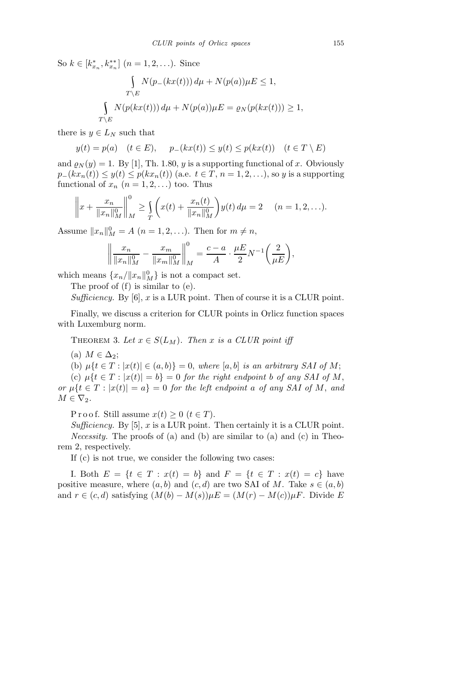So  $k \in [k_{x_n}^*, k_{x_n}^{**}]$   $(n = 1, 2, \ldots)$ . Since

$$
\int_{T \backslash E} N(p_{-}(kx(t))) d\mu + N(p(a)) \mu E \le 1,
$$
  

$$
\int_{T \backslash E} N(p(kx(t))) d\mu + N(p(a)) \mu E = \varrho_N(p(kx(t))) \ge 1,
$$

there is  $y \in L_N$  such that

$$
y(t) = p(a) \quad (t \in E), \quad p_{-}(kx(t)) \le y(t) \le p(kx(t)) \quad (t \in T \setminus E)
$$

and  $\rho_N(y) = 1$ . By [1], Th. 1.80, y is a supporting functional of x. Obviously  $p_-(kx_n(t)) \leq y(t) \leq p(kx_n(t))$  (a.e.  $t \in T$ ,  $n = 1, 2, \ldots$ ), so y is a supporting functional of  $x_n$   $(n = 1, 2, ...)$  too. Thus

$$
\left\|x + \frac{x_n}{\|x_n\|_M^0}\right\|_M^0 \ge \int\limits_T \left(x(t) + \frac{x_n(t)}{\|x_n\|_M^0}\right) y(t) \, d\mu = 2 \quad (n = 1, 2, \ldots).
$$

Assume  $||x_n||_M^0 = A$   $(n = 1, 2, \ldots)$ . Then for  $m \neq n$ ,

$$
\left\| \frac{x_n}{\|x_n\|_M^0} - \frac{x_m}{\|x_m\|_M^0} \right\|_M^0 = \frac{c-a}{A} \cdot \frac{\mu E}{2} N^{-1} \left( \frac{2}{\mu E} \right),
$$

which means  ${x_n/\Vert x_n \Vert_M^0}$  is not a compact set.

The proof of (f) is similar to (e).

Sufficiency. By  $[6]$ , x is a LUR point. Then of course it is a CLUR point.

Finally, we discuss a criterion for CLUR points in Orlicz function spaces with Luxemburg norm.

THEOREM 3. Let  $x \in S(L_M)$ . Then x is a CLUR point iff

(a)  $M \in \Delta_2$ ;

(b)  $\mu\{t \in T : |x(t)| \in (a, b)\} = 0$ , where  $[a, b]$  is an arbitrary SAI of M;

(c)  $\mu\{t \in T : |x(t)| = b\} = 0$  for the right endpoint b of any SAI of M, or  $\mu\{t \in T : |x(t)| = a\} = 0$  for the left endpoint a of any SAI of M, and  $M \in \nabla_2$ .

P r o o f. Still assume  $x(t) \geq 0$   $(t \in T)$ .

Sufficiency. By [5], x is a LUR point. Then certainly it is a CLUR point. Necessity. The proofs of (a) and (b) are similar to (a) and (c) in Theorem 2, respectively.

If (c) is not true, we consider the following two cases:

I. Both  $E = \{t \in T : x(t) = b\}$  and  $F = \{t \in T : x(t) = c\}$  have positive measure, where  $(a, b)$  and  $(c, d)$  are two SAI of M. Take  $s \in (a, b)$ and  $r \in (c, d)$  satisfying  $(M(b) - M(s))\mu E = (M(r) - M(c))\mu F$ . Divide E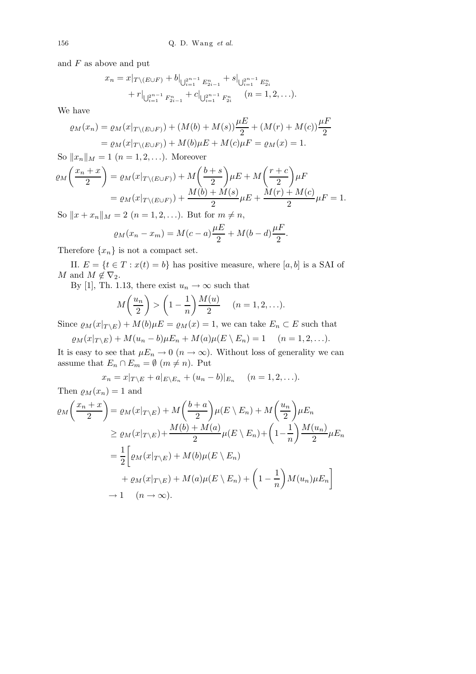and  $F$  as above and put

$$
x_n = x|_{T \setminus (E \cup F)} + b|_{\bigcup_{i=1}^{2^{n-1}} E_{2i-1}^n} + s|_{\bigcup_{i=1}^{2^{n-1}} E_{2i}^n}
$$
  
+ 
$$
r|_{\bigcup_{i=1}^{2^{n-1}} F_{2i-1}^n} + c|_{\bigcup_{i=1}^{2^{n-1}} F_{2i}^n} \quad (n = 1, 2, ...).
$$

We have

$$
\varrho_M(x_n) = \varrho_M(x|_{T \setminus (E \cup F)}) + (M(b) + M(s))\frac{\mu E}{2} + (M(r) + M(c))\frac{\mu F}{2}
$$
  
=  $\varrho_M(x|_{T \setminus (E \cup F)}) + M(b)\mu E + M(c)\mu F = \varrho_M(x) = 1.$ 

So  $||x_n||_M = 1$   $(n = 1, 2, ...)$ . Moreover

$$
\varrho_M\left(\frac{x_n+x}{2}\right) = \varrho_M(x|_{T\setminus (E\cup F)}) + M\left(\frac{b+s}{2}\right)\mu E + M\left(\frac{r+c}{2}\right)\mu F
$$
  
= 
$$
\varrho_M(x|_{T\setminus (E\cup F)}) + \frac{M(b)+M(s)}{2}\mu E + \frac{M(r)+M(c)}{2}\mu F = 1.
$$

So  $||x + x_n||_M = 2$   $(n = 1, 2, ...)$ . But for  $m \neq n$ ,

$$
\varrho_M(x_n - x_m) = M(c - a)\frac{\mu E}{2} + M(b - d)\frac{\mu F}{2}.
$$

Therefore  $\{x_n\}$  is not a compact set.

II.  $E = \{t \in T : x(t) = b\}$  has positive measure, where  $[a, b]$  is a SAI of M and  $M \notin \nabla_2$ .

By [1], Th. 1.13, there exist  $u_n \to \infty$  such that

$$
M\left(\frac{u_n}{2}\right) > \left(1 - \frac{1}{n}\right) \frac{M(u)}{2} \quad (n = 1, 2, \ldots).
$$

Since  $\varrho_M(x|_{T\setminus E}) + M(b)\mu E = \varrho_M(x) = 1$ , we can take  $E_n \subset E$  such that

$$
\varrho_M(x|_{T\setminus E})+M(u_n-b)\mu E_n+M(a)\mu(E\setminus E_n)=1\quad (n=1,2,\ldots).
$$

It is easy to see that  $\mu E_n \to 0$   $(n \to \infty)$ . Without loss of generality we can assume that  $E_n \cap E_m = \emptyset$   $(m \neq n)$ . Put

$$
x_n = x|_{T \setminus E} + a|_{E \setminus E_n} + (u_n - b)|_{E_n} \quad (n = 1, 2, \ldots).
$$
  
Then  $\varrho_M(x_n) = 1$  and

$$
\varrho_{M}\left(\frac{x_{n}+x}{2}\right) = \varrho_{M}(x|_{T\setminus E}) + M\left(\frac{b+a}{2}\right)\mu(E\setminus E_{n}) + M\left(\frac{u_{n}}{2}\right)\mu E_{n}
$$
  
\n
$$
\geq \varrho_{M}(x|_{T\setminus E}) + \frac{M(b)+M(a)}{2}\mu(E\setminus E_{n}) + \left(1-\frac{1}{n}\right)\frac{M(u_{n})}{2}\mu E_{n}
$$
  
\n
$$
= \frac{1}{2}\left[\varrho_{M}(x|_{T\setminus E}) + M(b)\mu(E\setminus E_{n}) + \left(1-\frac{1}{n}\right)M(u_{n})\mu E_{n}\right]
$$
  
\n
$$
\to 1 \quad (n \to \infty).
$$